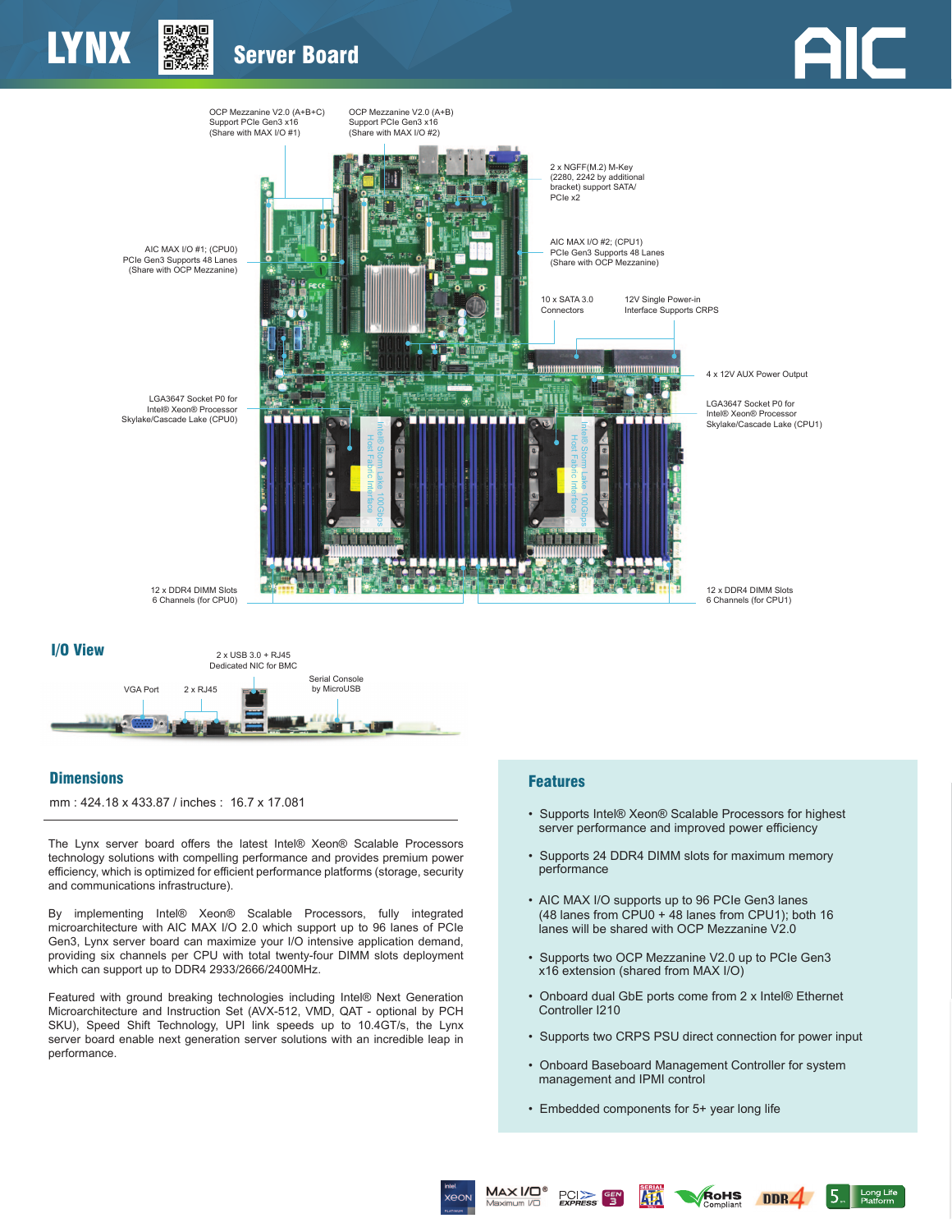



## **Dimensions**

mm : 424.18 x 433.87 / inches : 16.7 x 17.081

The Lynx server board offers the latest Intel® Xeon® Scalable Processors technology solutions with compelling performance and provides premium power efficiency, which is optimized for efficient performance platforms (storage, security and communications infrastructure).

By implementing Intel® Xeon® Scalable Processors, fully integrated microarchitecture with AIC MAX I/O 2.0 which support up to 96 lanes of PCIe Gen3, Lynx server board can maximize your I/O intensive application demand, providing six channels per CPU with total twenty-four DIMM slots deployment which can support up to DDR4 2933/2666/2400MHz.

Featured with ground breaking technologies including Intel® Next Generation Microarchitecture and Instruction Set (AVX-512, VMD, QAT - optional by PCH SKU), Speed Shift Technology, UPI link speeds up to 10.4GT/s, the Lynx server board enable next generation server solutions with an incredible leap in performance.

## Features

- Supports Intel® Xeon® Scalable Processors for highest server performance and improved power efficiency
- Supports 24 DDR4 DIMM slots for maximum memory performance
- AIC MAX I/O supports up to 96 PCIe Gen3 lanes (48 lanes from CPU0 + 48 lanes from CPU1); both 16 lanes will be shared with OCP Mezzanine V2.0
- Supports two OCP Mezzanine V2.0 up to PCIe Gen3 x16 extension (shared from MAX I/O)
- Onboard dual GbE ports come from 2 x Intel® Ethernet Controller I210
- Supports two CRPS PSU direct connection for power input

RoHS

 $DDR<sub>4</sub>$ 

Long Life<br>Platform

- Onboard Baseboard Management Controller for system management and IPMI control
- Embedded components for 5+ year long life

PCI<sup>></sup> F<sub>SPRESS</sub>